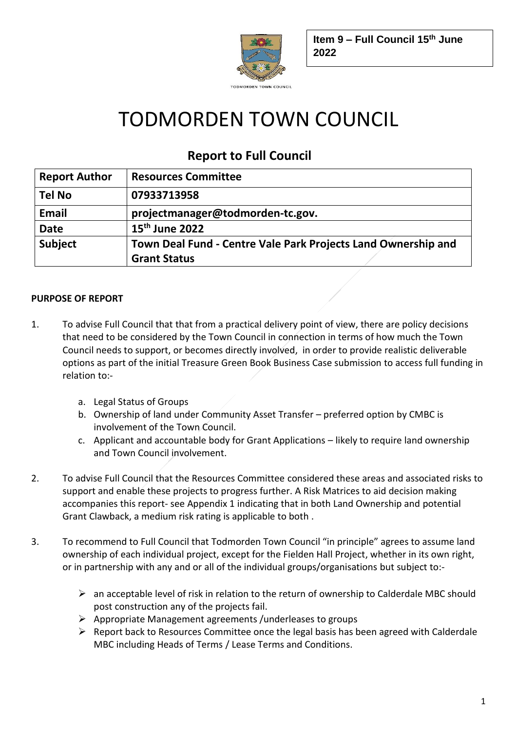

# TODMORDEN TOWN COUNCIL

# **Report to Full Council**

| <b>Report Author</b> | <b>Resources Committee</b>                                    |
|----------------------|---------------------------------------------------------------|
| <b>Tel No</b>        | 07933713958                                                   |
| <b>Email</b>         | projectmanager@todmorden-tc.gov.                              |
| <b>Date</b>          | $15th$ June 2022                                              |
| <b>Subject</b>       | Town Deal Fund - Centre Vale Park Projects Land Ownership and |
|                      | <b>Grant Status</b>                                           |

# **PURPOSE OF REPORT**

- 1. To advise Full Council that that from a practical delivery point of view, there are policy decisions that need to be considered by the Town Council in connection in terms of how much the Town Council needs to support, or becomes directly involved, in order to provide realistic deliverable options as part of the initial Treasure Green Book Business Case submission to access full funding in relation to:
	- a. Legal Status of Groups
	- b. Ownership of land under Community Asset Transfer preferred option by CMBC is involvement of the Town Council.
	- c. Applicant and accountable body for Grant Applications likely to require land ownership and Town Council involvement.
- 2. To advise Full Council that the Resources Committee considered these areas and associated risks to support and enable these projects to progress further. A Risk Matrices to aid decision making accompanies this report- see Appendix 1 indicating that in both Land Ownership and potential Grant Clawback, a medium risk rating is applicable to both .
- 3. To recommend to Full Council that Todmorden Town Council "in principle" agrees to assume land ownership of each individual project, except for the Fielden Hall Project, whether in its own right, or in partnership with any and or all of the individual groups/organisations but subject to:-
	- $\triangleright$  an acceptable level of risk in relation to the return of ownership to Calderdale MBC should post construction any of the projects fail.
	- ➢ Appropriate Management agreements /underleases to groups
	- $\triangleright$  Report back to Resources Committee once the legal basis has been agreed with Calderdale MBC including Heads of Terms / Lease Terms and Conditions.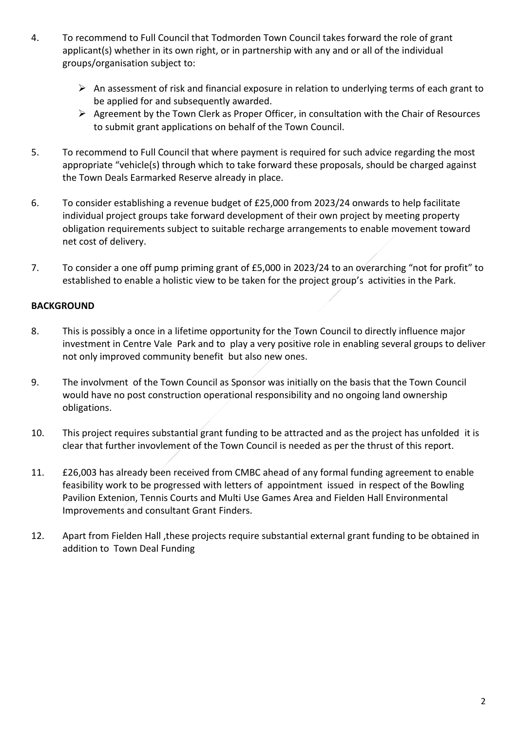- 4. To recommend to Full Council that Todmorden Town Council takes forward the role of grant applicant(s) whether in its own right, or in partnership with any and or all of the individual groups/organisation subject to:
	- ➢ An assessment of risk and financial exposure in relation to underlying terms of each grant to be applied for and subsequently awarded.
	- ➢ Agreement by the Town Clerk as Proper Officer, in consultation with the Chair of Resources to submit grant applications on behalf of the Town Council.
- 5. To recommend to Full Council that where payment is required for such advice regarding the most appropriate "vehicle(s) through which to take forward these proposals, should be charged against the Town Deals Earmarked Reserve already in place.
- 6. To consider establishing a revenue budget of £25,000 from 2023/24 onwards to help facilitate individual project groups take forward development of their own project by meeting property obligation requirements subject to suitable recharge arrangements to enable movement toward net cost of delivery.
- 7. To consider a one off pump priming grant of £5,000 in 2023/24 to an overarching "not for profit" to established to enable a holistic view to be taken for the project group's activities in the Park.

## **BACKGROUND**

- 8. This is possibly a once in a lifetime opportunity for the Town Council to directly influence major investment in Centre Vale Park and to play a very positive role in enabling several groups to deliver not only improved community benefit but also new ones.
- 9. The involvment of the Town Council as Sponsor was initially on the basis that the Town Council would have no post construction operational responsibility and no ongoing land ownership obligations.
- 10. This project requires substantial grant funding to be attracted and as the project has unfolded it is clear that further invovlement of the Town Council is needed as per the thrust of this report.
- 11. £26,003 has already been received from CMBC ahead of any formal funding agreement to enable feasibility work to be progressed with letters of appointment issued in respect of the Bowling Pavilion Extenion, Tennis Courts and Multi Use Games Area and Fielden Hall Environmental Improvements and consultant Grant Finders.
- 12. Apart from Fielden Hall ,these projects require substantial external grant funding to be obtained in addition to Town Deal Funding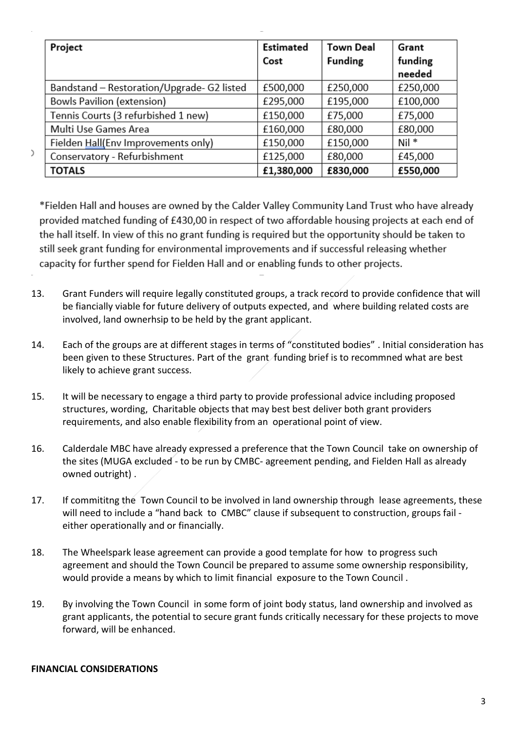| Project                                    | <b>Estimated</b> | <b>Town Deal</b> | Grant    |
|--------------------------------------------|------------------|------------------|----------|
|                                            | Cost             | <b>Funding</b>   | funding  |
|                                            |                  |                  | needed   |
| Bandstand - Restoration/Upgrade- G2 listed | £500,000         | £250,000         | £250,000 |
| <b>Bowls Pavilion (extension)</b>          | £295,000         | £195,000         | £100,000 |
| Tennis Courts (3 refurbished 1 new)        | £150,000         | £75,000          | £75,000  |
| Multi Use Games Area                       | £160,000         | £80,000          | £80,000  |
| Fielden Hall(Env Improvements only)        | £150,000         | £150,000         | Nil *    |
| Conservatory - Refurbishment               | £125,000         | £80,000          | £45,000  |
| <b>TOTALS</b>                              | £1,380,000       | £830,000         | £550,000 |

\*Fielden Hall and houses are owned by the Calder Valley Community Land Trust who have already provided matched funding of £430,00 in respect of two affordable housing projects at each end of the hall itself. In view of this no grant funding is required but the opportunity should be taken to still seek grant funding for environmental improvements and if successful releasing whether capacity for further spend for Fielden Hall and or enabling funds to other projects.

- 13. Grant Funders will require legally constituted groups, a track record to provide confidence that will be fiancially viable for future delivery of outputs expected, and where building related costs are involved, land ownerhsip to be held by the grant applicant.
- 14. Each of the groups are at different stages in terms of "constituted bodies" . Initial consideration has been given to these Structures. Part of the grant funding brief is to recommned what are best likely to achieve grant success.
- 15. It will be necessary to engage a third party to provide professional advice including proposed structures, wording, Charitable objects that may best best deliver both grant providers requirements, and also enable flexibility from an operational point of view.
- 16. Calderdale MBC have already expressed a preference that the Town Council take on ownership of the sites (MUGA excluded - to be run by CMBC- agreement pending, and Fielden Hall as already owned outright) .
- 17. If commititng the Town Council to be involved in land ownership through lease agreements, these will need to include a "hand back to CMBC" clause if subsequent to construction, groups fail either operationally and or financially.
- 18. The Wheelspark lease agreement can provide a good template for how to progress such agreement and should the Town Council be prepared to assume some ownership responsibility, would provide a means by which to limit financial exposure to the Town Council .
- 19. By involving the Town Council in some form of joint body status, land ownership and involved as grant applicants, the potential to secure grant funds critically necessary for these projects to move forward, will be enhanced.

#### **FINANCIAL CONSIDERATIONS**

 $\lambda$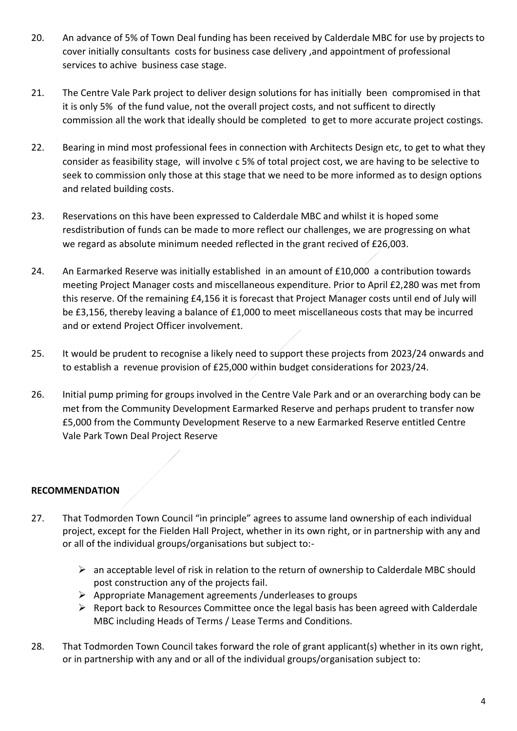- 20. An advance of 5% of Town Deal funding has been received by Calderdale MBC for use by projects to cover initially consultants costs for business case delivery ,and appointment of professional services to achive business case stage.
- 21. The Centre Vale Park project to deliver design solutions for has initially been compromised in that it is only 5% of the fund value, not the overall project costs, and not sufficent to directly commission all the work that ideally should be completed to get to more accurate project costings.
- 22. Bearing in mind most professional fees in connection with Architects Design etc, to get to what they consider as feasibility stage, will involve c 5% of total project cost, we are having to be selective to seek to commission only those at this stage that we need to be more informed as to design options and related building costs.
- 23. Reservations on this have been expressed to Calderdale MBC and whilst it is hoped some resdistribution of funds can be made to more reflect our challenges, we are progressing on what we regard as absolute minimum needed reflected in the grant recived of £26,003.
- 24. An Earmarked Reserve was initially established in an amount of £10,000 a contribution towards meeting Project Manager costs and miscellaneous expenditure. Prior to April £2,280 was met from this reserve. Of the remaining £4,156 it is forecast that Project Manager costs until end of July will be £3,156, thereby leaving a balance of £1,000 to meet miscellaneous costs that may be incurred and or extend Project Officer involvement.
- 25. It would be prudent to recognise a likely need to support these projects from 2023/24 onwards and to establish a revenue provision of £25,000 within budget considerations for 2023/24.
- 26. Initial pump priming for groups involved in the Centre Vale Park and or an overarching body can be met from the Community Development Earmarked Reserve and perhaps prudent to transfer now £5,000 from the Communty Development Reserve to a new Earmarked Reserve entitled Centre Vale Park Town Deal Project Reserve

# **RECOMMENDATION**

- 27. That Todmorden Town Council "in principle" agrees to assume land ownership of each individual project, except for the Fielden Hall Project, whether in its own right, or in partnership with any and or all of the individual groups/organisations but subject to:-
	- $\triangleright$  an acceptable level of risk in relation to the return of ownership to Calderdale MBC should post construction any of the projects fail.
	- ➢ Appropriate Management agreements /underleases to groups
	- ➢ Report back to Resources Committee once the legal basis has been agreed with Calderdale MBC including Heads of Terms / Lease Terms and Conditions.
- 28. That Todmorden Town Council takes forward the role of grant applicant(s) whether in its own right, or in partnership with any and or all of the individual groups/organisation subject to: